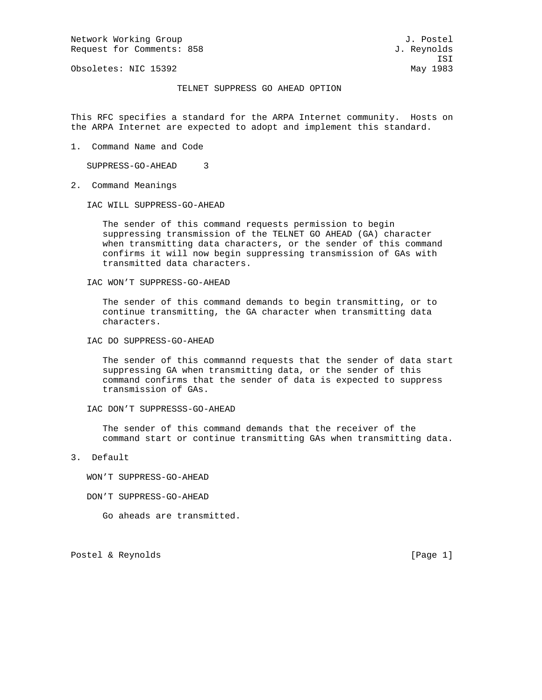Network Working Group and the set of the set of the set of the set of the set of the set of the set of the set of the set of the set of the set of the set of the set of the set of the set of the set of the set of the set o Request for Comments: 858 J. Reynolds

Obsoletes: NIC 15392 May 1983

ISI

## TELNET SUPPRESS GO AHEAD OPTION

This RFC specifies a standard for the ARPA Internet community. Hosts on the ARPA Internet are expected to adopt and implement this standard.

1. Command Name and Code

SUPPRESS-GO-AHEAD 3

2. Command Meanings

IAC WILL SUPPRESS-GO-AHEAD

 The sender of this command requests permission to begin suppressing transmission of the TELNET GO AHEAD (GA) character when transmitting data characters, or the sender of this command confirms it will now begin suppressing transmission of GAs with transmitted data characters.

IAC WON'T SUPPRESS-GO-AHEAD

 The sender of this command demands to begin transmitting, or to continue transmitting, the GA character when transmitting data characters.

IAC DO SUPPRESS-GO-AHEAD

 The sender of this commannd requests that the sender of data start suppressing GA when transmitting data, or the sender of this command confirms that the sender of data is expected to suppress transmission of GAs.

IAC DON'T SUPPRESSS-GO-AHEAD

 The sender of this command demands that the receiver of the command start or continue transmitting GAs when transmitting data.

3. Default

WON'T SUPPRESS-GO-AHEAD

- DON'T SUPPRESS-GO-AHEAD
	- Go aheads are transmitted.

Postel & Reynolds [Page 1]